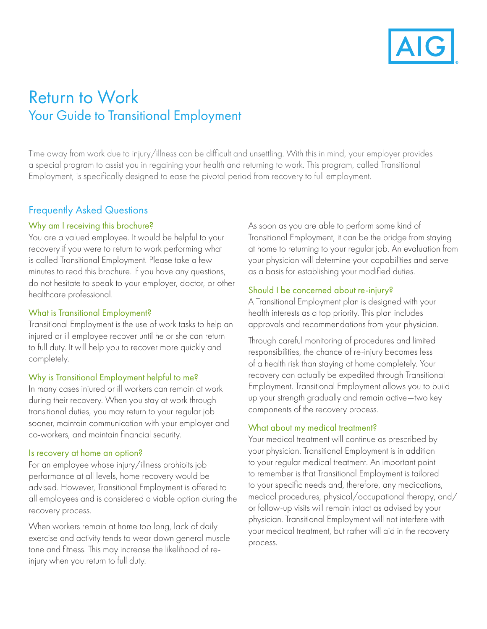

# Return to Work Your Guide to Transitional Employment

Time away from work due to injury/illness can be diffcult and unsettling. With this in mind, your employer provides a special program to assist you in regaining your health and returning to work. This program, called Transitional Employment, is specifcally designed to ease the pivotal period from recovery to full employment.

# Frequently Asked Questions

# Why am I receiving this brochure?

You are a valued employee. It would be helpful to your recovery if you were to return to work performing what is called Transitional Employment. Please take a few minutes to read this brochure. If you have any questions, do not hesitate to speak to your employer, doctor, or other healthcare professional.

### What is Transitional Employment?

Transitional Employment is the use of work tasks to help an injured or ill employee recover until he or she can return to full duty. It will help you to recover more quickly and completely.

# Why is Transitional Employment helpful to me?

In many cases injured or ill workers can remain at work during their recovery. When you stay at work through transitional duties, you may return to your regular job sooner, maintain communication with your employer and co-workers, and maintain fnancial security.

#### Is recovery at home an option?

For an employee whose injury/illness prohibits job performance at all levels, home recovery would be advised. However, Transitional Employment is offered to all employees and is considered a viable option during the recovery process.

When workers remain at home too long, lack of daily exercise and activity tends to wear down general muscle tone and fitness. This may increase the likelihood of reinjury when you return to full duty.

As soon as you are able to perform some kind of Transitional Employment, it can be the bridge from staying at home to returning to your regular job. An evaluation from your physician will determine your capabilities and serve as a basis for establishing your modifed duties.

# Should I be concerned about re-injury?

A Transitional Employment plan is designed with your health interests as a top priority. This plan includes approvals and recommendations from your physician.

Through careful monitoring of procedures and limited responsibilities, the chance of re-injury becomes less of a health risk than staying at home completely. Your recovery can actually be expedited through Transitional Employment. Transitional Employment allows you to build up your strength gradually and remain active—two key components of the recovery process.

# What about my medical treatment?

Your medical treatment will continue as prescribed by your physician. Transitional Employment is in addition to your regular medical treatment. An important point to remember is that Transitional Employment is tailored to your specifc needs and, therefore, any medications, medical procedures, physical/occupational therapy, and/ or follow-up visits will remain intact as advised by your physician. Transitional Employment will not interfere with your medical treatment, but rather will aid in the recovery process.